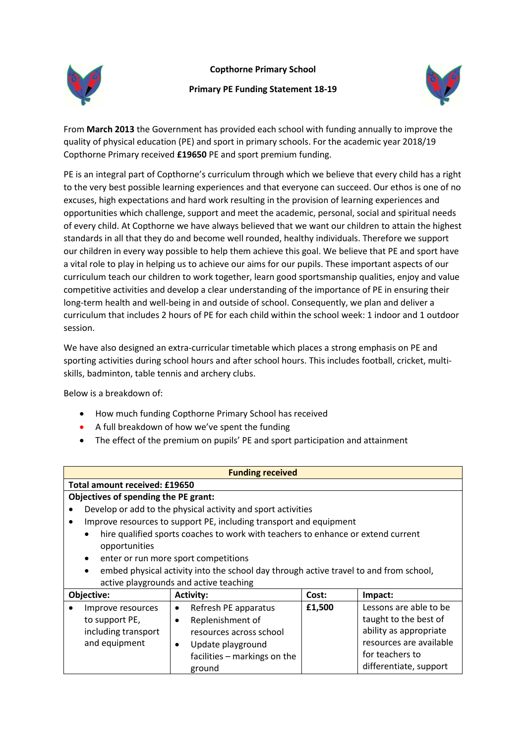**Copthorne Primary School**



## **Primary PE Funding Statement 18-19**



From **March 2013** the Government has provided each school with funding annually to improve the quality of physical education (PE) and sport in primary schools. For the academic year 2018/19 Copthorne Primary received **£19650** PE and sport premium funding.

PE is an integral part of Copthorne's curriculum through which we believe that every child has a right to the very best possible learning experiences and that everyone can succeed. Our ethos is one of no excuses, high expectations and hard work resulting in the provision of learning experiences and opportunities which challenge, support and meet the academic, personal, social and spiritual needs of every child. At Copthorne we have always believed that we want our children to attain the highest standards in all that they do and become well rounded, healthy individuals. Therefore we support our children in every way possible to help them achieve this goal. We believe that PE and sport have a vital role to play in helping us to achieve our aims for our pupils. These important aspects of our curriculum teach our children to work together, learn good sportsmanship qualities, enjoy and value competitive activities and develop a clear understanding of the importance of PE in ensuring their long-term health and well-being in and outside of school. Consequently, we plan and deliver a curriculum that includes 2 hours of PE for each child within the school week: 1 indoor and 1 outdoor session.

We have also designed an extra-curricular timetable which places a strong emphasis on PE and sporting activities during school hours and after school hours. This includes football, cricket, multiskills, badminton, table tennis and archery clubs.

Below is a breakdown of:

- How much funding Copthorne Primary School has received
- A full breakdown of how we've spent the funding
- The effect of the premium on pupils' PE and sport participation and attainment

| <b>Funding received</b>                                                                            |                                                                    |        |                         |  |  |
|----------------------------------------------------------------------------------------------------|--------------------------------------------------------------------|--------|-------------------------|--|--|
| Total amount received: £19650                                                                      |                                                                    |        |                         |  |  |
| Objectives of spending the PE grant:                                                               |                                                                    |        |                         |  |  |
|                                                                                                    | Develop or add to the physical activity and sport activities       |        |                         |  |  |
| $\bullet$                                                                                          | Improve resources to support PE, including transport and equipment |        |                         |  |  |
| hire qualified sports coaches to work with teachers to enhance or extend current<br>$\bullet$      |                                                                    |        |                         |  |  |
| opportunities                                                                                      |                                                                    |        |                         |  |  |
| enter or run more sport competitions<br>$\bullet$                                                  |                                                                    |        |                         |  |  |
| embed physical activity into the school day through active travel to and from school,<br>$\bullet$ |                                                                    |        |                         |  |  |
| active playgrounds and active teaching                                                             |                                                                    |        |                         |  |  |
| Objective:                                                                                         | <b>Activity:</b>                                                   | Cost:  | Impact:                 |  |  |
| Improve resources                                                                                  | Refresh PE apparatus<br>$\bullet$                                  | £1,500 | Lessons are able to be  |  |  |
| to support PE,                                                                                     | Replenishment of<br>٠                                              |        | taught to the best of   |  |  |
| including transport                                                                                | resources across school                                            |        | ability as appropriate  |  |  |
| and equipment                                                                                      | Update playground<br>$\bullet$                                     |        | resources are available |  |  |
|                                                                                                    | facilities - markings on the                                       |        | for teachers to         |  |  |
|                                                                                                    | ground                                                             |        | differentiate, support  |  |  |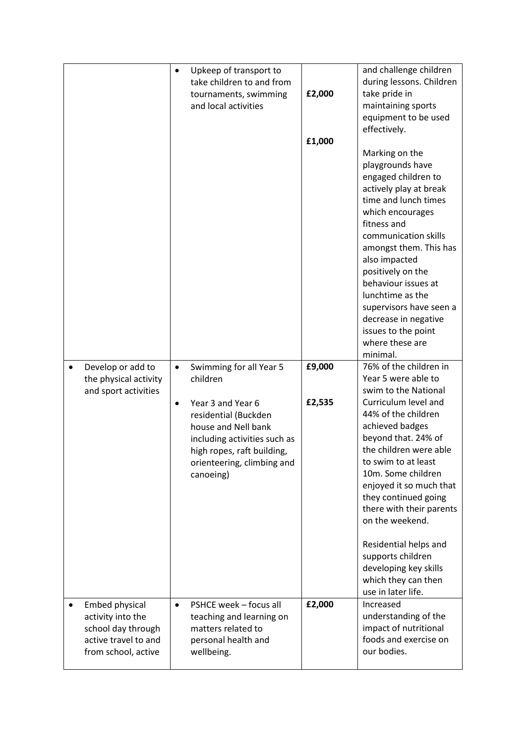|                                                                                                          | Upkeep of transport to<br>$\bullet$<br>take children to and from<br>tournaments, swimming<br>and local activities                                                                                                                          | £2,000<br>£1,000 | and challenge children<br>during lessons. Children<br>take pride in<br>maintaining sports<br>equipment to be used<br>effectively.<br>Marking on the<br>playgrounds have<br>engaged children to<br>actively play at break<br>time and lunch times<br>which encourages<br>fitness and<br>communication skills<br>amongst them. This has<br>also impacted<br>positively on the<br>behaviour issues at<br>lunchtime as the<br>supervisors have seen a<br>decrease in negative<br>issues to the point<br>where these are<br>minimal. |
|----------------------------------------------------------------------------------------------------------|--------------------------------------------------------------------------------------------------------------------------------------------------------------------------------------------------------------------------------------------|------------------|---------------------------------------------------------------------------------------------------------------------------------------------------------------------------------------------------------------------------------------------------------------------------------------------------------------------------------------------------------------------------------------------------------------------------------------------------------------------------------------------------------------------------------|
| Develop or add to<br>$\bullet$<br>the physical activity<br>and sport activities                          | Swimming for all Year 5<br>$\bullet$<br>children<br>Year 3 and Year 6<br>$\bullet$<br>residential (Buckden<br>house and Nell bank<br>including activities such as<br>high ropes, raft building,<br>orienteering, climbing and<br>canoeing) | £9,000<br>£2,535 | 76% of the children in<br>Year 5 were able to<br>swim to the National<br>Curriculum level and<br>44% of the children<br>achieved badges<br>beyond that. 24% of<br>the children were able<br>to swim to at least<br>10m. Some children<br>enjoyed it so much that<br>they continued going<br>there with their parents<br>on the weekend.<br>Residential helps and<br>supports children<br>developing key skills<br>which they can then<br>use in later life.                                                                     |
| Embed physical<br>activity into the<br>school day through<br>active travel to and<br>from school, active | PSHCE week - focus all<br>$\bullet$<br>teaching and learning on<br>matters related to<br>personal health and<br>wellbeing.                                                                                                                 | £2,000           | Increased<br>understanding of the<br>impact of nutritional<br>foods and exercise on<br>our bodies.                                                                                                                                                                                                                                                                                                                                                                                                                              |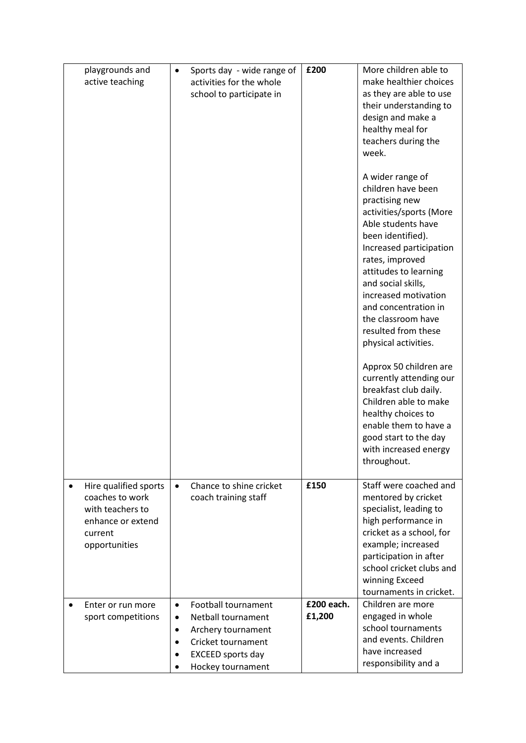| playgrounds and<br>active teaching                                                                                         | Sports day - wide range of<br>$\bullet$<br>activities for the whole<br>school to participate in                                                                                    | £200                 | More children able to<br>make healthier choices<br>as they are able to use<br>their understanding to<br>design and make a<br>healthy meal for<br>teachers during the<br>week.<br>A wider range of<br>children have been<br>practising new<br>activities/sports (More<br>Able students have<br>been identified).<br>Increased participation<br>rates, improved<br>attitudes to learning<br>and social skills,<br>increased motivation<br>and concentration in<br>the classroom have<br>resulted from these<br>physical activities.<br>Approx 50 children are<br>currently attending our<br>breakfast club daily.<br>Children able to make<br>healthy choices to<br>enable them to have a<br>good start to the day<br>with increased energy |
|----------------------------------------------------------------------------------------------------------------------------|------------------------------------------------------------------------------------------------------------------------------------------------------------------------------------|----------------------|-------------------------------------------------------------------------------------------------------------------------------------------------------------------------------------------------------------------------------------------------------------------------------------------------------------------------------------------------------------------------------------------------------------------------------------------------------------------------------------------------------------------------------------------------------------------------------------------------------------------------------------------------------------------------------------------------------------------------------------------|
|                                                                                                                            |                                                                                                                                                                                    |                      | throughout.                                                                                                                                                                                                                                                                                                                                                                                                                                                                                                                                                                                                                                                                                                                               |
| Hire qualified sports<br>$\bullet$<br>coaches to work<br>with teachers to<br>enhance or extend<br>current<br>opportunities | Chance to shine cricket<br>$\bullet$<br>coach training staff                                                                                                                       | £150                 | Staff were coached and<br>mentored by cricket<br>specialist, leading to<br>high performance in<br>cricket as a school, for<br>example; increased<br>participation in after<br>school cricket clubs and<br>winning Exceed<br>tournaments in cricket.                                                                                                                                                                                                                                                                                                                                                                                                                                                                                       |
| Enter or run more<br>sport competitions                                                                                    | Football tournament<br>$\bullet$<br>Netball tournament<br>$\bullet$<br>Archery tournament<br>٠<br>Cricket tournament<br>$\bullet$<br><b>EXCEED</b> sports day<br>Hockey tournament | £200 each.<br>£1,200 | Children are more<br>engaged in whole<br>school tournaments<br>and events. Children<br>have increased<br>responsibility and a                                                                                                                                                                                                                                                                                                                                                                                                                                                                                                                                                                                                             |